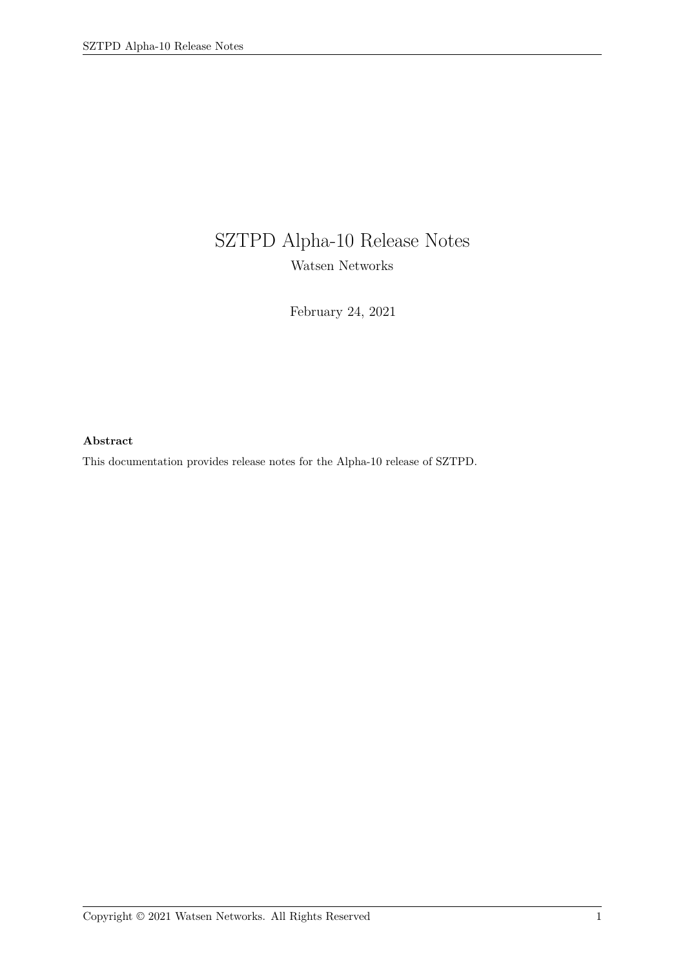# SZTPD Alpha-10 Release Notes Watsen Networks

February 24, 2021

#### **Abstract**

This documentation provides release notes for the Alpha-10 release of SZTPD.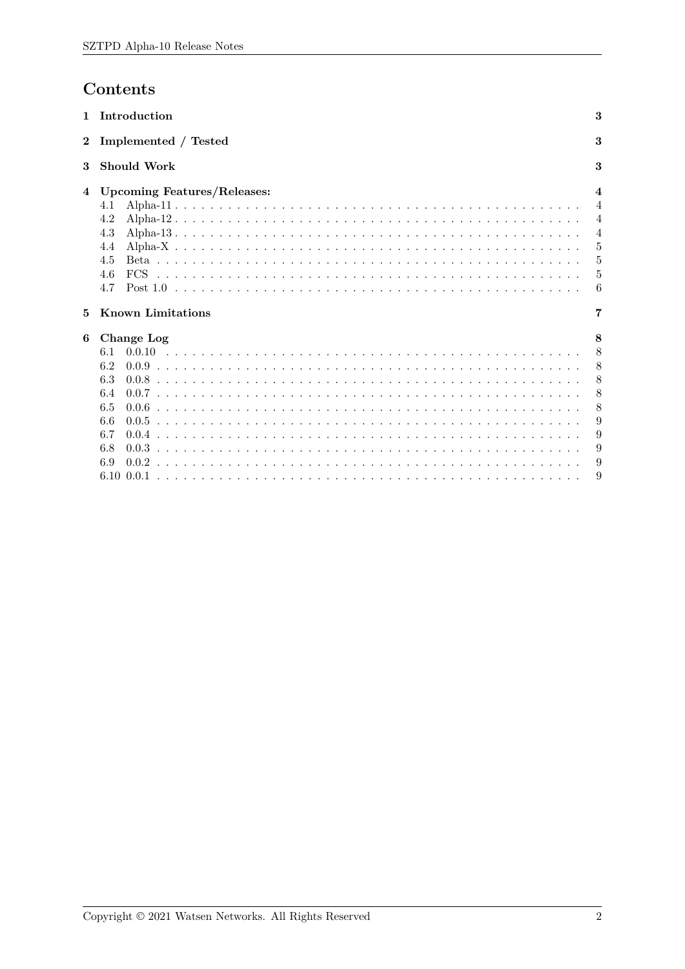# Contents

| 1        | Introduction                                                                        | 3                                                                                          |
|----------|-------------------------------------------------------------------------------------|--------------------------------------------------------------------------------------------|
| $\bf{2}$ | Implemented / Tested                                                                | 3                                                                                          |
| 3        | <b>Should Work</b>                                                                  | 3                                                                                          |
| 4        | <b>Upcoming Features/Releases:</b><br>4.1<br>4.2<br>4.3<br>4.4<br>4.5<br>4.6<br>4.7 | $\boldsymbol{4}$<br>$\overline{4}$<br>$\overline{4}$<br>$\overline{4}$<br>5<br>5<br>5<br>6 |
| 5        | <b>Known Limitations</b>                                                            | 7                                                                                          |
| 6        | Change Log<br>6.1<br>6.2<br>6.3<br>6.4<br>6.5<br>6.6<br>6.7<br>6.8<br>6.9           | 8<br>8<br>8<br>8<br>8<br>8<br>9<br>9<br>9<br>9                                             |
|          | 6.10 0.0.1                                                                          |                                                                                            |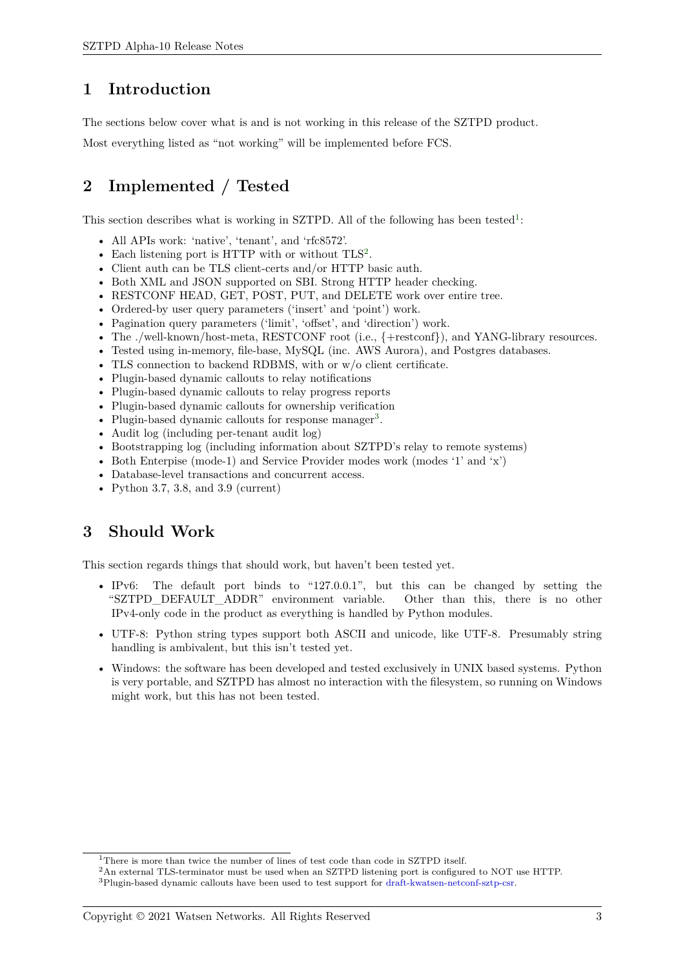### **1 Introduction**

The sections below cover what is and is not working in this release of the SZTPD product.

<span id="page-2-0"></span>Most everything listed as "not working" will be implemented before FCS.

# **2 Implemented / Tested**

<span id="page-2-1"></span>This section describes what is working in SZTPD. All of the following has been tested<sup>1</sup>:

- All APIs work: 'native', 'tenant', and 'rfc8572'.
- Each listening port is HTTP with or without TLS<sup>2</sup>.
- Client auth can be TLS client-certs and/or HTTP basic auth.
- Both XML and JSON supported on SBI. Strong HTTP header checking.
- RESTCONF HEAD, GET, POST, PUT, and DELETE work over entire tree.
- Ordered-by user query parameters ('insert' and 'point') work.
- Pagination query parameters ('limit', 'offset', and 'direction') work.
- The ./well-known/host-meta, RESTCONF root (i.e.,  $\{+{\rm restconf}\}\)$ , and YANG-library resources.
- Tested using in-memory, file-base, MySQL (inc. AWS Aurora), and Postgres databases.
- TLS connection to backend RDBMS, with or w/o client certificate.
- Plugin-based dynamic callouts to relay notifications
- Plugin-based dynamic callouts to relay progress reports
- Plugin-based dynamic callouts for ownership verification
- Plugin-based dynamic callouts for response manager<sup>3</sup>.
- Audit log (including per-tenant audit log)
- Bootstrapping log (including information about SZTPD's relay to remote systems)
- Both Enterpise (mode-1) and Service Provider modes work (modes '1' and 'x')
- Database-level transactions and concurrent access.
- Python 3.7, 3.8, and 3.9 (current)

### **3 Should Work**

<span id="page-2-2"></span>This section regards things that should work, but haven't been tested yet.

- IPv6: The default port binds to "127.0.0.1", but this can be changed by setting the "SZTPD DEFAULT ADDR" environment variable. Other than this, there is no other IPv4-only code in the product as everything is handled by Python modules.
- UTF-8: Python string types support both ASCII and unicode, like UTF-8. Presumably string handling is ambivalent, but this isn't tested yet.
- Windows: the software has been developed and tested exclusively in UNIX based systems. Python is very portable, and SZTPD has almost no interaction with the filesystem, so running on Windows might work, but this has not been tested.

<sup>&</sup>lt;sup>1</sup>There is more than twice the number of lines of test code than code in SZTPD itself.

<sup>2</sup>An external TLS-terminator must be used when an SZTPD listening port is configured to NOT use HTTP.

<sup>3</sup>Plugin-based dynamic callouts have been used to test support for draft-kwatsen-netconf-sztp-csr.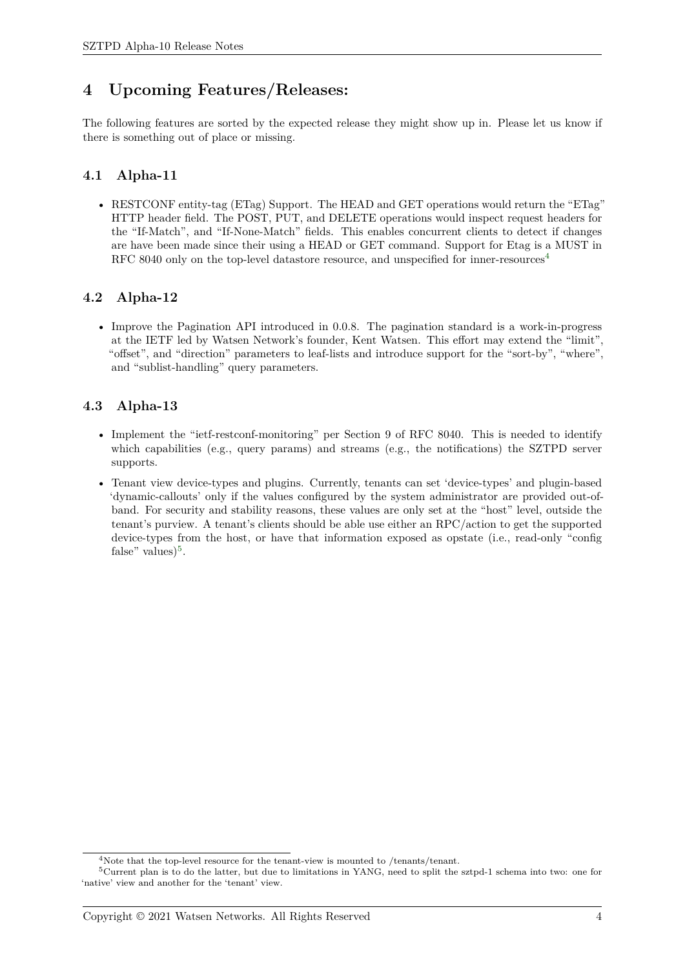## **4 Upcoming Features/Releases:**

<span id="page-3-0"></span>The following features are sorted by the expected release they might show up in. Please let us know if there is something out of place or missing.

### **4.1 Alpha-11**

<span id="page-3-1"></span>• RESTCONF entity-tag (ETag) Support. The HEAD and GET operations would return the "ETag" HTTP header field. The POST, PUT, and DELETE operations would inspect request headers for the "If-Match", and "If-None-Match" fields. This enables concurrent clients to detect if changes are have been made since their using a HEAD or GET command. Support for Etag is a MUST in RFC 8040 only on the top-level datastore resource, and unspecified for inner-resources<sup>4</sup>

### **4.2 Alpha-12**

<span id="page-3-2"></span>• Improve the Pagination API introduced in 0.0.8. The pagination standard is a work-in-progress at the IETF led by Watsen Network's founder, Kent Watsen. This effort may extend the "limit", "offset", and "direction" parameters to leaf-lists and introduce support for the "sort-by", "where", and "sublist-handling" query parameters.

### **4.3 Alpha-13**

- <span id="page-3-3"></span>• Implement the "ietf-restconf-monitoring" per Section 9 of RFC 8040. This is needed to identify which capabilities (e.g., query params) and streams (e.g., the notifications) the SZTPD server supports.
- Tenant view device-types and plugins. Currently, tenants can set 'device-types' and plugin-based 'dynamic-callouts' only if the values configured by the system administrator are provided out-ofband. For security and stability reasons, these values are only set at the "host" level, outside the tenant's purview. A tenant's clients should be able use either an RPC/action to get the supported device-types from the host, or have that information exposed as opstate (i.e., read-only "config false" values $)^5$ .

<sup>&</sup>lt;sup>4</sup>Note that the top-level resource for the tenant-view is mounted to /tenants/tenant.

<sup>5</sup>Current plan is to do the latter, but due to limitations in YANG, need to split the sztpd-1 schema into two: one for 'native' view and another for the 'tenant' view.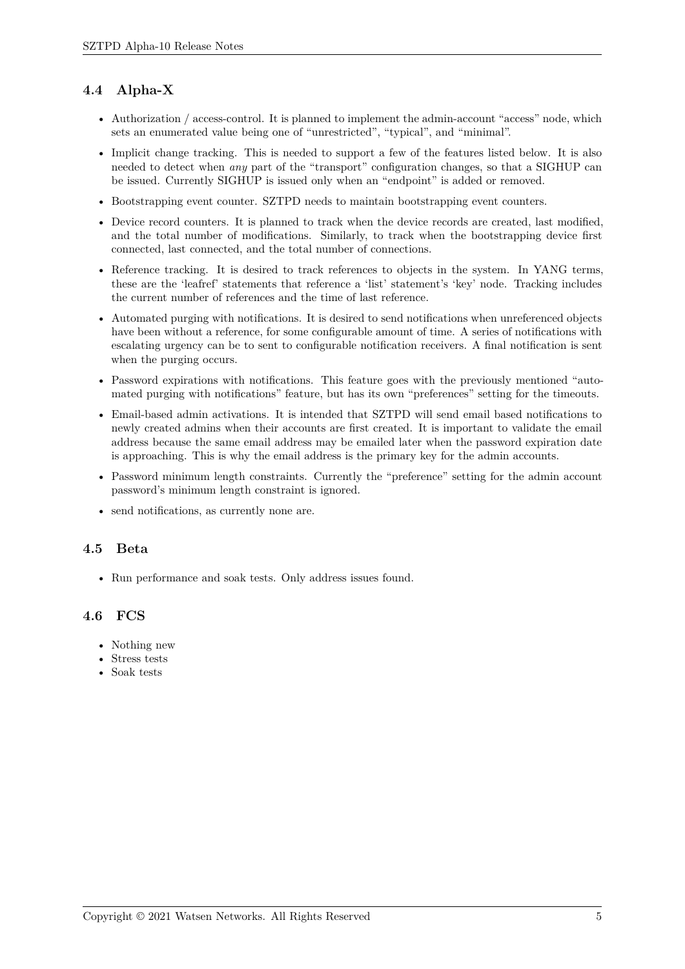### <span id="page-4-0"></span>**4.4 Alpha-X**

- Authorization / access-control. It is planned to implement the admin-account "access" node, which sets an enumerated value being one of "unrestricted", "typical", and "minimal".
- Implicit change tracking. This is needed to support a few of the features listed below. It is also needed to detect when *any* part of the "transport" configuration changes, so that a SIGHUP can be issued. Currently SIGHUP is issued only when an "endpoint" is added or removed.
- Bootstrapping event counter. SZTPD needs to maintain bootstrapping event counters.
- Device record counters. It is planned to track when the device records are created, last modified, and the total number of modifications. Similarly, to track when the bootstrapping device first connected, last connected, and the total number of connections.
- Reference tracking. It is desired to track references to objects in the system. In YANG terms, these are the 'leafref' statements that reference a 'list' statement's 'key' node. Tracking includes the current number of references and the time of last reference.
- Automated purging with notifications. It is desired to send notifications when unreferenced objects have been without a reference, for some configurable amount of time. A series of notifications with escalating urgency can be to sent to configurable notification receivers. A final notification is sent when the purging occurs.
- Password expirations with notifications. This feature goes with the previously mentioned "automated purging with notifications" feature, but has its own "preferences" setting for the timeouts.
- Email-based admin activations. It is intended that SZTPD will send email based notifications to newly created admins when their accounts are first created. It is important to validate the email address because the same email address may be emailed later when the password expiration date is approaching. This is why the email address is the primary key for the admin accounts.
- Password minimum length constraints. Currently the "preference" setting for the admin account password's minimum length constraint is ignored.
- send notifications, as currently none are.

### <span id="page-4-1"></span>**4.5 Beta**

• Run performance and soak tests. Only address issues found.

### <span id="page-4-2"></span>**4.6 FCS**

- Nothing new
- Stress tests
- Soak tests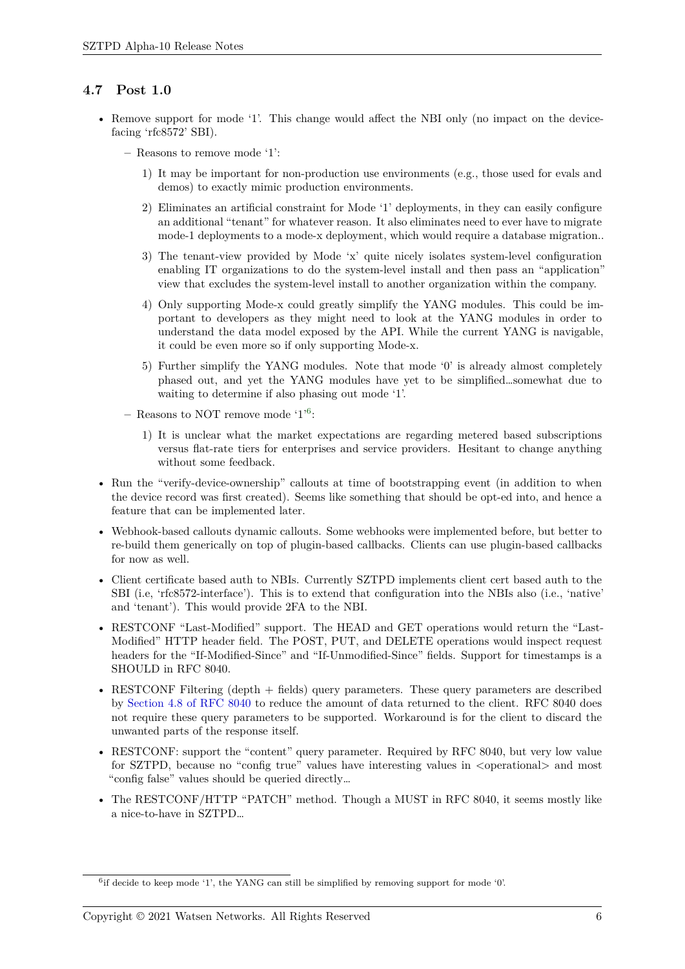### **4.7 Post 1.0**

- <span id="page-5-0"></span>• Remove support for mode '1'. This change would affect the NBI only (no impact on the devicefacing 'rfc8572' SBI).
	- **–** Reasons to remove mode '1':
		- 1) It may be important for non-production use environments (e.g., those used for evals and demos) to exactly mimic production environments.
		- 2) Eliminates an artificial constraint for Mode '1' deployments, in they can easily configure an additional "tenant" for whatever reason. It also eliminates need to ever have to migrate mode-1 deployments to a mode-x deployment, which would require a database migration..
		- 3) The tenant-view provided by Mode 'x' quite nicely isolates system-level configuration enabling IT organizations to do the system-level install and then pass an "application" view that excludes the system-level install to another organization within the company.
		- 4) Only supporting Mode-x could greatly simplify the YANG modules. This could be important to developers as they might need to look at the YANG modules in order to understand the data model exposed by the API. While the current YANG is navigable, it could be even more so if only supporting Mode-x.
		- 5) Further simplify the YANG modules. Note that mode '0' is already almost completely phased out, and yet the YANG modules have yet to be simplified…somewhat due to waiting to determine if also phasing out mode '1'.
	- **–** Reasons to NOT remove mode '1'<sup>6</sup> :
		- 1) It is unclear what the market expectations are regarding metered based subscriptions versus flat-rate tiers for enterprises and service providers. Hesitant to change anything without some feedback.
- Run the "verify-device-ownership" callouts at time of bootstrapping event (in addition to when the device record was first created). Seems like something that should be opt-ed into, and hence a feature that can be implemented later.
- Webhook-based callouts dynamic callouts. Some webhooks were implemented before, but better to re-build them generically on top of plugin-based callbacks. Clients can use plugin-based callbacks for now as well.
- Client certificate based auth to NBIs. Currently SZTPD implements client cert based auth to the SBI (i.e, 'rfc8572-interface'). This is to extend that configuration into the NBIs also (i.e., 'native' and 'tenant'). This would provide 2FA to the NBI.
- RESTCONF "Last-Modified" support. The HEAD and GET operations would return the "Last-Modified" HTTP header field. The POST, PUT, and DELETE operations would inspect request headers for the "If-Modified-Since" and "If-Unmodified-Since" fields. Support for timestamps is a SHOULD in RFC 8040.
- RESTCONF Filtering (depth + fields) query parameters. These query parameters are described by Section 4.8 of RFC 8040 to reduce the amount of data returned to the client. RFC 8040 does not require these query parameters to be supported. Workaround is for the client to discard the unwanted parts of the response itself.
- RESTCONF: support the "content" query parameter. Required by RFC 8040, but very low value for [SZTPD, because no "co](https://tools.ietf.org/html/rfc8040#section-4.8)nfig true" values have interesting values in  $\leq$  operational and most "config false" values should be queried directly…
- The RESTCONF/HTTP "PATCH" method. Though a MUST in RFC 8040, it seems mostly like a nice-to-have in SZTPD…

<sup>&</sup>lt;sup>6</sup>if decide to keep mode '1', the YANG can still be simplified by removing support for mode '0'.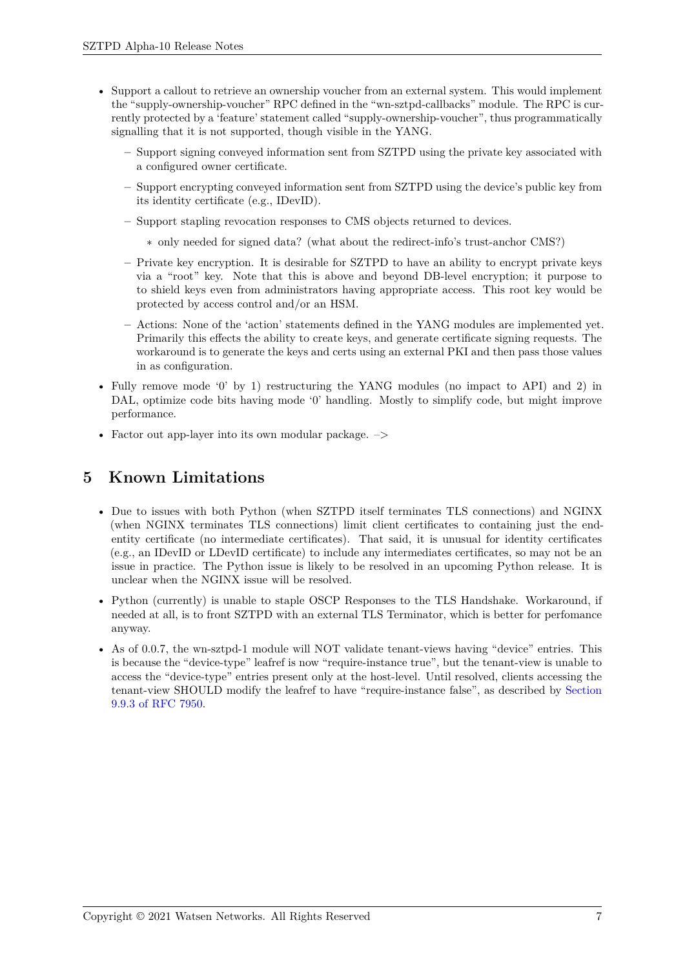- Support a callout to retrieve an ownership voucher from an external system. This would implement the "supply-ownership-voucher" RPC defined in the "wn-sztpd-callbacks" module. The RPC is currently protected by a 'feature' statement called "supply-ownership-voucher", thus programmatically signalling that it is not supported, though visible in the YANG.
	- **–** Support signing conveyed information sent from SZTPD using the private key associated with a configured owner certificate.
	- **–** Support encrypting conveyed information sent from SZTPD using the device's public key from its identity certificate (e.g., IDevID).
	- **–** Support stapling revocation responses to CMS objects returned to devices.
		- ∗ only needed for signed data? (what about the redirect-info's trust-anchor CMS?)
	- **–** Private key encryption. It is desirable for SZTPD to have an ability to encrypt private keys via a "root" key. Note that this is above and beyond DB-level encryption; it purpose to to shield keys even from administrators having appropriate access. This root key would be protected by access control and/or an HSM.
	- **–** Actions: None of the 'action' statements defined in the YANG modules are implemented yet. Primarily this effects the ability to create keys, and generate certificate signing requests. The workaround is to generate the keys and certs using an external PKI and then pass those values in as configuration.
- Fully remove mode '0' by 1) restructuring the YANG modules (no impact to API) and 2) in DAL, optimize code bits having mode '0' handling. Mostly to simplify code, but might improve performance.
- Factor out app-layer into its own modular package.  $\rightarrow$

## **5 Known Limitations**

- <span id="page-6-0"></span>• Due to issues with both Python (when SZTPD itself terminates TLS connections) and NGINX (when NGINX terminates TLS connections) limit client certificates to containing just the endentity certificate (no intermediate certificates). That said, it is unusual for identity certificates (e.g., an IDevID or LDevID certificate) to include any intermediates certificates, so may not be an issue in practice. The Python issue is likely to be resolved in an upcoming Python release. It is unclear when the NGINX issue will be resolved.
- Python (currently) is unable to staple OSCP Responses to the TLS Handshake. Workaround, if needed at all, is to front SZTPD with an external TLS Terminator, which is better for perfomance anyway.
- As of 0.0.7, the wn-sztpd-1 module will NOT validate tenant-views having "device" entries. This is because the "device-type" leafref is now "require-instance true", but the tenant-view is unable to access the "device-type" entries present only at the host-level. Until resolved, clients accessing the tenant-view SHOULD modify the leafref to have "require-instance false", as described by Section 9.9.3 of RFC 7950.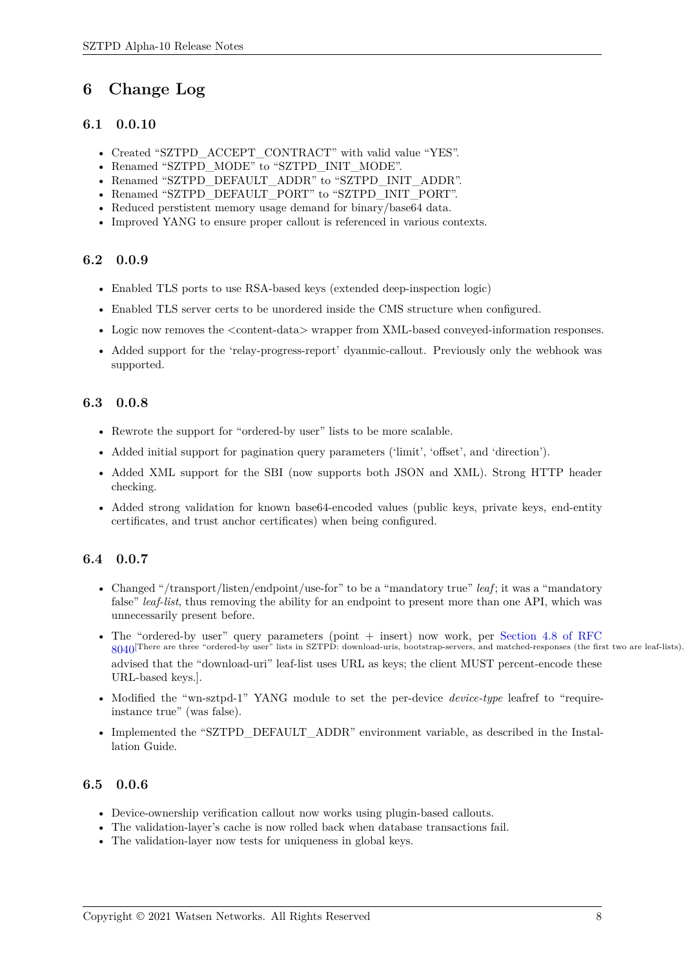## **6 Change Log**

### **6.1 0.0.10**

- <span id="page-7-0"></span>• Created "SZTPD\_ACCEPT\_CONTRACT" with valid value "YES".
- <span id="page-7-1"></span>• Renamed "SZTPD\_MODE" to "SZTPD\_INIT\_MODE".
- Renamed "SZTPD\_DEFAULT\_ADDR" to "SZTPD\_INIT\_ADDR".
- Renamed "SZTPD\_DEFAULT\_PORT" to "SZTPD\_INIT\_PORT".
- Reduced perstistent memory usage demand for binary/base64 data.
- Improved YANG to ensure proper callout is referenced in various contexts.

#### **6.2 0.0.9**

- Enabled TLS ports to use RSA-based keys (extended deep-inspection logic)
- <span id="page-7-2"></span>• Enabled TLS server certs to be unordered inside the CMS structure when configured.
- Logic now removes the  $\zeta$  content-data wrapper from XML-based conveyed-information responses.
- Added support for the 'relay-progress-report' dyanmic-callout. Previously only the webhook was supported.

### **6.3 0.0.8**

- Rewrote the support for "ordered-by user" lists to be more scalable.
- <span id="page-7-3"></span>• Added initial support for pagination query parameters ('limit', 'offset', and 'direction').
- Added XML support for the SBI (now supports both JSON and XML). Strong HTTP header checking.
- Added strong validation for known base64-encoded values (public keys, private keys, end-entity certificates, and trust anchor certificates) when being configured.

#### **6.4 0.0.7**

- <span id="page-7-4"></span>• Changed "/transport/listen/endpoint/use-for" to be a "mandatory true" *leaf*; it was a "mandatory false" *leaf-list*, thus removing the ability for an endpoint to present more than one API, which was unnecessarily present before.
- The "ordered-by user" query parameters (point + insert) now work, per Section 4.8 of RFC  $8040$ <sup>[There are three "ordered-by user"</sup> lists in SZTPD: download-uris, bootstrap-servers, and matched-responses (the first two are leaf-lists).][Be advised that the "download-uri" leaf-list uses URL as keys; the client MUST percent-encode these URL-based keys.].
- Modified the "wn-sztpd-1" YANG module to set the per-device *device-type* [leafref to "require](https://tools.ietf.org/html/rfc8040#section-4.8)[insta](https://tools.ietf.org/html/rfc8040#section-4.8)nce true" (was false).
- Implemented the "SZTPD\_DEFAULT\_ADDR" environment variable, as described in the Installation Guide.

#### **6.5 0.0.6**

- Device-ownership verification callout now works using plugin-based callouts.
- <span id="page-7-5"></span>• The validation-layer's cache is now rolled back when database transactions fail.
- The validation-layer now tests for uniqueness in global keys.